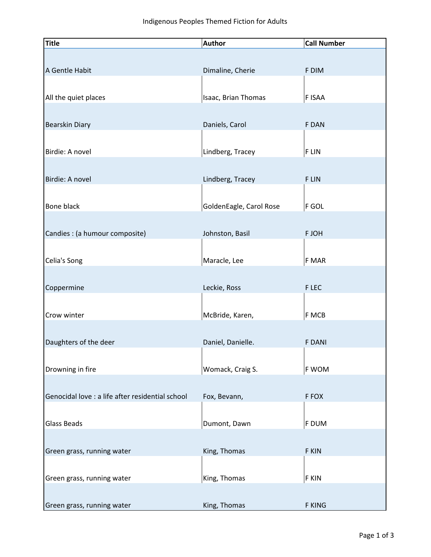| <b>Title</b>                                     | <b>Author</b>           | <b>Call Number</b> |
|--------------------------------------------------|-------------------------|--------------------|
|                                                  |                         |                    |
| A Gentle Habit                                   | Dimaline, Cherie        | F DIM              |
|                                                  |                         |                    |
| All the quiet places                             | Isaac, Brian Thomas     | F ISAA             |
|                                                  |                         |                    |
| <b>Bearskin Diary</b>                            | Daniels, Carol          | F DAN              |
|                                                  |                         |                    |
| Birdie: A novel                                  | Lindberg, Tracey        | F LIN              |
|                                                  |                         |                    |
| Birdie: A novel                                  | Lindberg, Tracey        | F LIN              |
|                                                  |                         |                    |
| Bone black                                       | GoldenEagle, Carol Rose | F GOL              |
|                                                  |                         |                    |
| Candies : (a humour composite)                   | Johnston, Basil         | F JOH              |
|                                                  |                         |                    |
| Celia's Song                                     | Maracle, Lee            | F MAR              |
|                                                  |                         |                    |
| Coppermine                                       | Leckie, Ross            | F LEC              |
|                                                  |                         |                    |
| Crow winter                                      | McBride, Karen,         | F MCB              |
|                                                  |                         |                    |
| Daughters of the deer                            | Daniel, Danielle.       | <b>F DANI</b>      |
|                                                  |                         |                    |
| Drowning in fire                                 | Womack, Craig S.        | F WOM              |
|                                                  |                         |                    |
| Genocidal love : a life after residential school | Fox, Bevann,            | F FOX              |
|                                                  |                         |                    |
| <b>Glass Beads</b>                               | Dumont, Dawn            | F DUM              |
|                                                  |                         |                    |
| Green grass, running water                       | King, Thomas            | F KIN              |
|                                                  |                         |                    |
| Green grass, running water                       | King, Thomas            | F KIN              |
|                                                  |                         |                    |
| Green grass, running water                       | King, Thomas            | F KING             |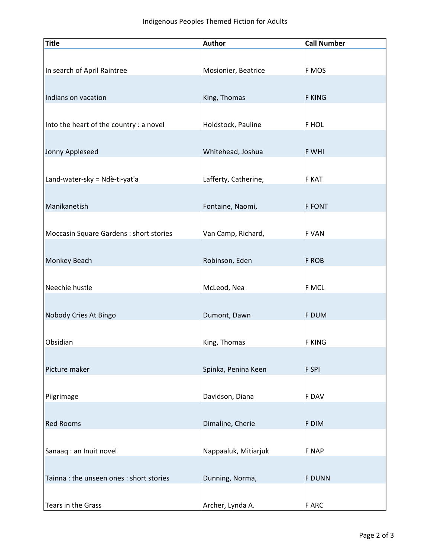| <b>Title</b>                            | <b>Author</b>        | <b>Call Number</b> |
|-----------------------------------------|----------------------|--------------------|
|                                         |                      |                    |
| In search of April Raintree             | Mosionier, Beatrice  | F MOS              |
|                                         |                      |                    |
| Indians on vacation                     | King, Thomas         | <b>F KING</b>      |
|                                         |                      |                    |
| Into the heart of the country : a novel | Holdstock, Pauline   | F HOL              |
|                                         |                      |                    |
| Jonny Appleseed                         | Whitehead, Joshua    | F WHI              |
|                                         |                      |                    |
| Land-water-sky = Ndè-ti-yat'a           | Lafferty, Catherine, | F KAT              |
|                                         |                      |                    |
| Manikanetish                            | Fontaine, Naomi,     | <b>F FONT</b>      |
|                                         |                      |                    |
| Moccasin Square Gardens : short stories | Van Camp, Richard,   | F VAN              |
| Monkey Beach                            | Robinson, Eden       | F ROB              |
|                                         |                      |                    |
| Neechie hustle                          | McLeod, Nea          | F MCL              |
|                                         |                      |                    |
| Nobody Cries At Bingo                   | Dumont, Dawn         | F DUM              |
|                                         |                      |                    |
| Obsidian                                | King, Thomas         | <b>F KING</b>      |
|                                         |                      |                    |
| Picture maker                           | Spinka, Penina Keen  | F SPI              |
|                                         |                      |                    |
| Pilgrimage                              | Davidson, Diana      | F DAV              |
|                                         |                      |                    |
| <b>Red Rooms</b>                        | Dimaline, Cherie     | F DIM              |
|                                         |                      |                    |
| Sanaaq: an Inuit novel                  | Nappaaluk, Mitiarjuk | F NAP              |
|                                         |                      |                    |
| Tainna: the unseen ones: short stories  | Dunning, Norma,      | <b>F DUNN</b>      |
|                                         |                      |                    |
| Tears in the Grass                      | Archer, Lynda A.     | F ARC              |